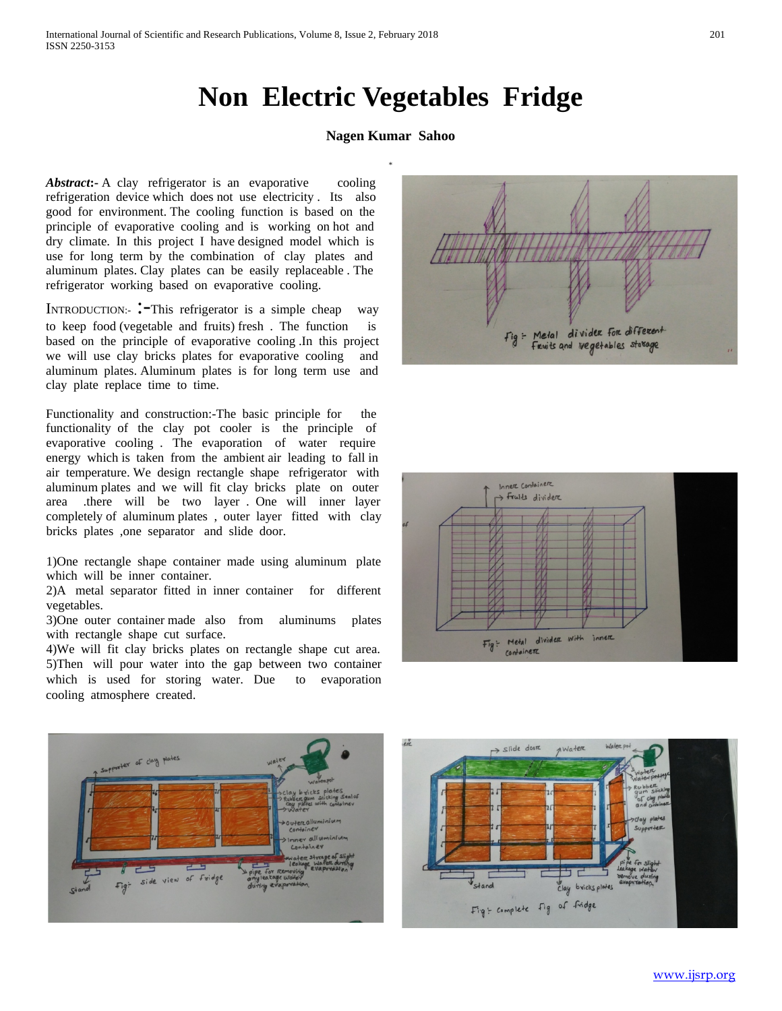## **Non Electric Vegetables Fridge**

## **Nagen Kumar Sahoo**

Abstract:- A clay refrigerator is an evaporative cooling refrigeration device which does not use electricity . Its also good for environment. The cooling function is based on the principle of evaporative cooling and is working on hot and dry climate. In this project I have designed model which is use for long term by the combination of clay plates and aluminum plates. Clay plates can be easily replaceable . The refrigerator working based on evaporative cooling.

INTRODUCTION:- :<sup>-</sup>This refrigerator is a simple cheap way to keep food (vegetable and fruits) fresh . The function is based on the principle of evaporative cooling .In this project we will use clay bricks plates for evaporative cooling and aluminum plates. Aluminum plates is for long term use and clay plate replace time to time.

Functionality and construction:-The basic principle for the functionality of the clay pot cooler is the principle of evaporative cooling . The evaporation of water require energy which is taken from the ambient air leading to fall in air temperature. We design rectangle shape refrigerator with aluminum plates and we will fit clay bricks plate on outer area .there will be two layer . One will inner layer completely of aluminum plates , outer layer fitted with clay bricks plates ,one separator and slide door.

1)One rectangle shape container made using aluminum plate which will be inner container.

2)A metal separator fitted in inner container for different vegetables.

3)One outer container made also from aluminums plates with rectangle shape cut surface.

4)We will fit clay bricks plates on rectangle shape cut area. 5)Then will pour water into the gap between two container which is used for storing water. Due to evaporation cooling atmosphere created.









[www.ijsrp.org](http://ijsrp.org/)